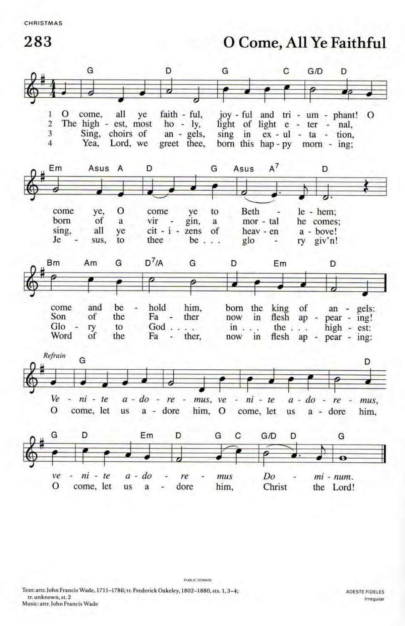283 O Come, All Ye Faithful



PUBLIC DOMAIN

Text: attr. John Francis Wade, 1711-1786; tr. Frederick Oakeley, 1802-1880, sts. 1,3-4; tr. unknown, st. 2 Music: attr. John Francis Wade

ADESTE FIDELES Irregular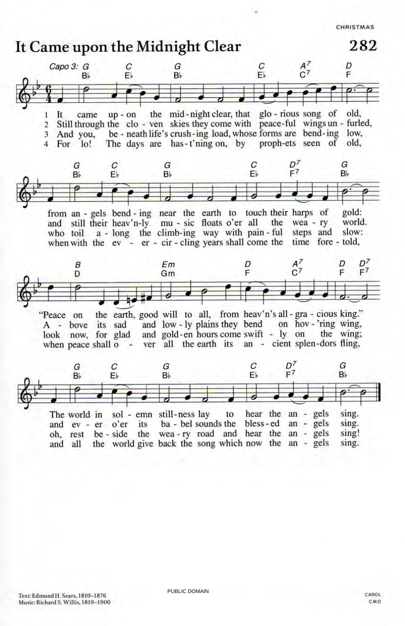

PUBLIC DOMAIN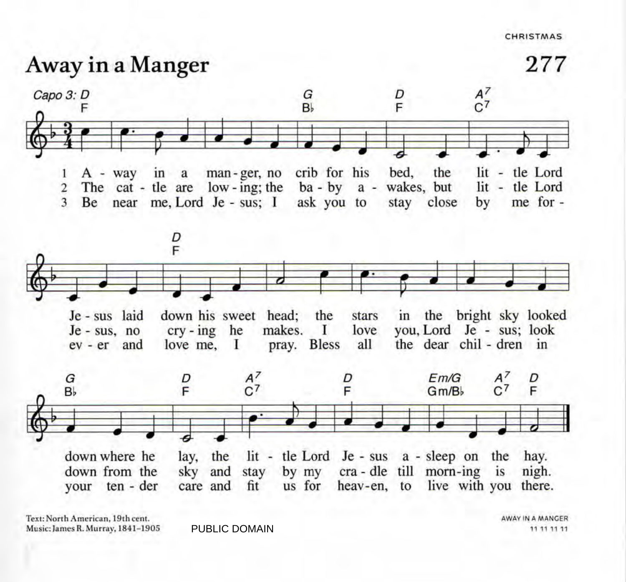## Away in a Manger





Text: North American, 19th cent. Music: James R. Murray, 1841-1905

PUBLIC DOMAIN 11 11 11 11

AWAY IN A MANGER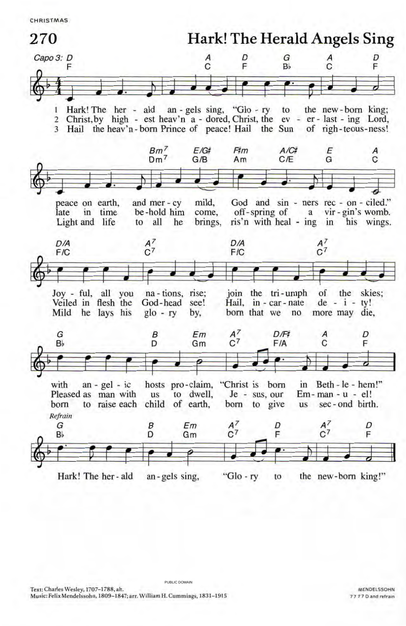

PUBLIC DOMAIN

Text: Charles Wesley, 1707-1788, alt. Music: Felix Mendelssohn, 1809-1847; arr. William H. Cummings, 1831-1915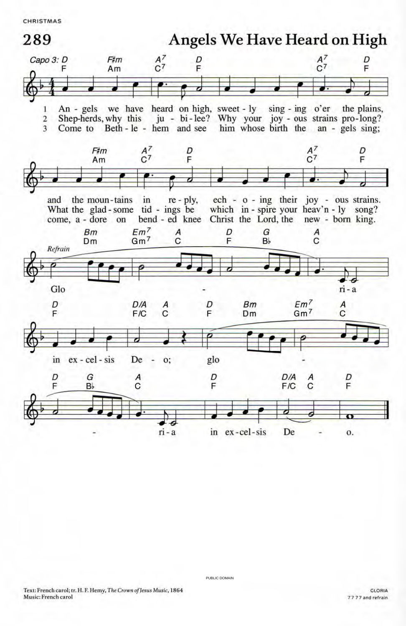

PUBLIC DOMAIN